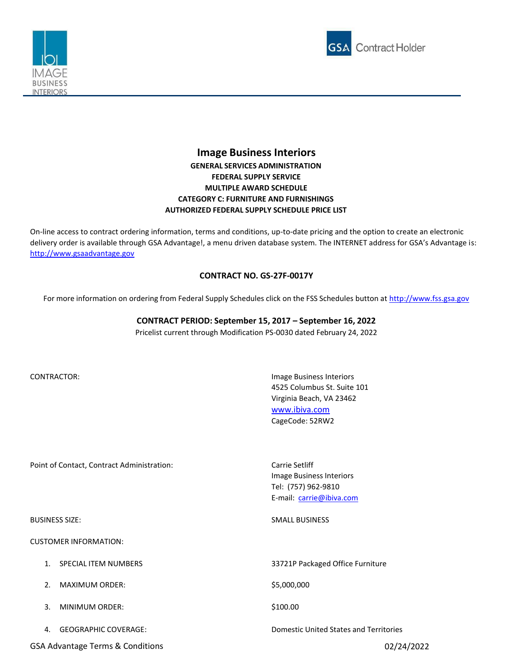



## **Image Business Interiors GENERAL SERVICES ADMINISTRATION FEDERAL SUPPLY SERVICE MULTIPLE AWARD SCHEDULE CATEGORY C: FURNITURE AND FURNISHINGS AUTHORIZED FEDERAL SUPPLY SCHEDULE PRICE LIST**

On-line access to contract ordering information, terms and conditions, up-to-date pricing and the option to create an electronic delivery order is available through GSA Advantage!, a menu driven database system. The INTERNET address for GSA's Advantage is: [http://www.gsaadvantage.gov](http://www.gsaadvantage.gov/)

## **CONTRACT NO. GS-27F-0017Y**

For more information on ordering from Federal Supply Schedules click on the FSS Schedules button at [http://www.fss.gsa.gov](http://www.fss.gsa.gov/)

## **CONTRACT PERIOD: September 15, 2017 – September 16, 2022**

Pricelist current through Modification PS-0030 dated February 24, 2022

CONTRACTOR: Image Business Interiors 4525 Columbus St. Suite 101 Virginia Beach, VA 23462 [www.ibiva.com](http://www.ibiva.com/) CageCode: 52RW2

Point of Contact, Contract Administration: Carrie Setliff

CUSTOMER INFORMATION:

- 
- 2. MAXIMUM ORDER: \$5,000,000
- 3. MINIMUM ORDER: \$100.00
- 

GSA Advantage Terms & Conditions 02/24/2022 **65A Advantage Terms & Conditions 02/24/2022** 

Image Business Interiors Tel: (757) 962-9810 E-mail: [carrie@ibiva.com](mailto:carrie@ibiva.com)

BUSINESS SIZE: SMALL BUSINESS SIZE: SMALL BUSINESS

1. SPECIAL ITEM NUMBERS 33721P Packaged Office Furniture

4. GEOGRAPHIC COVERAGE: Domestic United States and Territories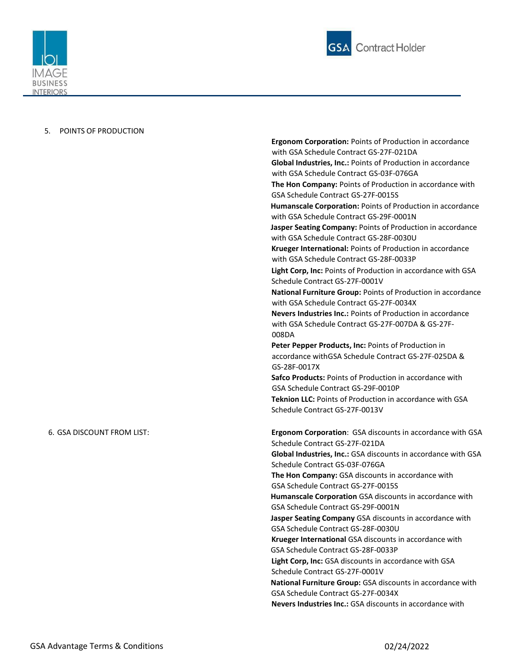



## 5. POINTS OF PRODUCTION

**Ergonom Corporation:** Points of Production in accordance with GSA Schedule Contract GS‐27F‐021DA **Global Industries, Inc.:** Points of Production in accordance with GSA Schedule Contract GS-03F-076GA **The Hon Company:** Points of Production in accordance with GSA Schedule Contract GS‐27F‐0015S **Humanscale Corporation:** Points of Production in accordance with GSA Schedule Contract GS‐29F‐0001N **Jasper Seating Company:** Points of Production in accordance with GSA Schedule Contract GS‐28F‐0030U **Krueger International:** Points of Production in accordance with GSA Schedule Contract GS‐28F‐0033P **Light Corp, Inc:** Points of Production in accordance with GSA Schedule Contract GS‐27F‐0001V **National Furniture Group:** Points of Production in accordance with GSA Schedule Contract GS‐27F‐0034X **Nevers Industries Inc.:** Points of Production in accordance with GSA Schedule Contract GS‐27F‐007DA & GS‐27F‐ 008DA **Peter Pepper Products, Inc:** Points of Production in accordance withGSA Schedule Contract GS‐27F‐025DA & GS‐28F‐0017X **Safco Products:** Points of Production in accordance with GSA Schedule Contract GS‐29F‐0010P **Teknion LLC:** Points of Production in accordance with GSA Schedule Contract GS‐27F‐0013V 6. GSA DISCOUNT FROM LIST: **Ergonom Corporation**: GSA discounts in accordance with GSA Schedule Contract GS-27F-021DA **Global Industries, Inc.:** GSA discounts in accordance with GSA Schedule Contract GS-03F-076GA **The Hon Company:** GSA discounts in accordance with GSA Schedule Contract GS‐27F‐0015S **Humanscale Corporation** GSA discounts in accordance with GSA Schedule Contract GS‐29F‐0001N **Jasper Seating Company** GSA discounts in accordance with GSA Schedule Contract GS‐28F‐0030U **Krueger International** GSA discounts in accordance with GSA Schedule Contract GS‐28F‐0033P **Light Corp, Inc:** GSA discounts in accordance with GSA Schedule Contract GS‐27F‐0001V **National Furniture Group:** GSA discounts in accordance with GSA Schedule Contract GS‐27F‐0034X **Nevers Industries Inc.:** GSA discounts in accordance with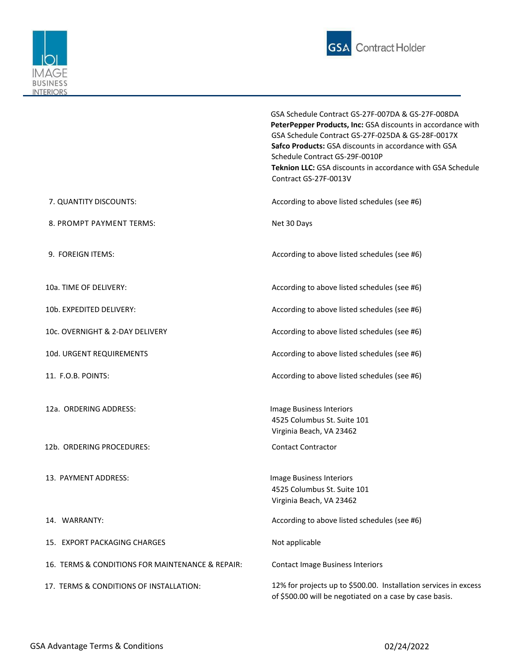



|                                                  | GSA Schedule Contract GS-27F-007DA & GS-27F-008DA<br>PeterPepper Products, Inc: GSA discounts in accordance with<br>GSA Schedule Contract GS-27F-025DA & GS-28F-0017X<br>Safco Products: GSA discounts in accordance with GSA<br>Schedule Contract GS-29F-0010P |
|--------------------------------------------------|-----------------------------------------------------------------------------------------------------------------------------------------------------------------------------------------------------------------------------------------------------------------|
|                                                  | <b>Teknion LLC:</b> GSA discounts in accordance with GSA Schedule<br>Contract GS-27F-0013V                                                                                                                                                                      |
| 7. QUANTITY DISCOUNTS:                           | According to above listed schedules (see #6)                                                                                                                                                                                                                    |
| 8. PROMPT PAYMENT TERMS:                         | Net 30 Days                                                                                                                                                                                                                                                     |
| 9. FOREIGN ITEMS:                                | According to above listed schedules (see #6)                                                                                                                                                                                                                    |
| 10a. TIME OF DELIVERY:                           | According to above listed schedules (see #6)                                                                                                                                                                                                                    |
| 10b. EXPEDITED DELIVERY:                         | According to above listed schedules (see #6)                                                                                                                                                                                                                    |
| 10c. OVERNIGHT & 2-DAY DELIVERY                  | According to above listed schedules (see #6)                                                                                                                                                                                                                    |
| 10d. URGENT REQUIREMENTS                         | According to above listed schedules (see #6)                                                                                                                                                                                                                    |
| 11. F.O.B. POINTS:                               | According to above listed schedules (see #6)                                                                                                                                                                                                                    |
| 12a. ORDERING ADDRESS:                           | Image Business Interiors<br>4525 Columbus St. Suite 101<br>Virginia Beach, VA 23462                                                                                                                                                                             |
| 12b. ORDERING PROCEDURES:                        | <b>Contact Contractor</b>                                                                                                                                                                                                                                       |
| 13. PAYMENT ADDRESS:                             | Image Business Interiors<br>4525 Columbus St. Suite 101<br>Virginia Beach, VA 23462                                                                                                                                                                             |
| 14. WARRANTY:                                    | According to above listed schedules (see #6)                                                                                                                                                                                                                    |
| 15. EXPORT PACKAGING CHARGES                     | Not applicable                                                                                                                                                                                                                                                  |
| 16. TERMS & CONDITIONS FOR MAINTENANCE & REPAIR: | <b>Contact Image Business Interiors</b>                                                                                                                                                                                                                         |
| 17. TERMS & CONDITIONS OF INSTALLATION:          | 12% for projects up to \$500.00. Installation services in excess<br>of \$500.00 will be negotiated on a case by case basis.                                                                                                                                     |